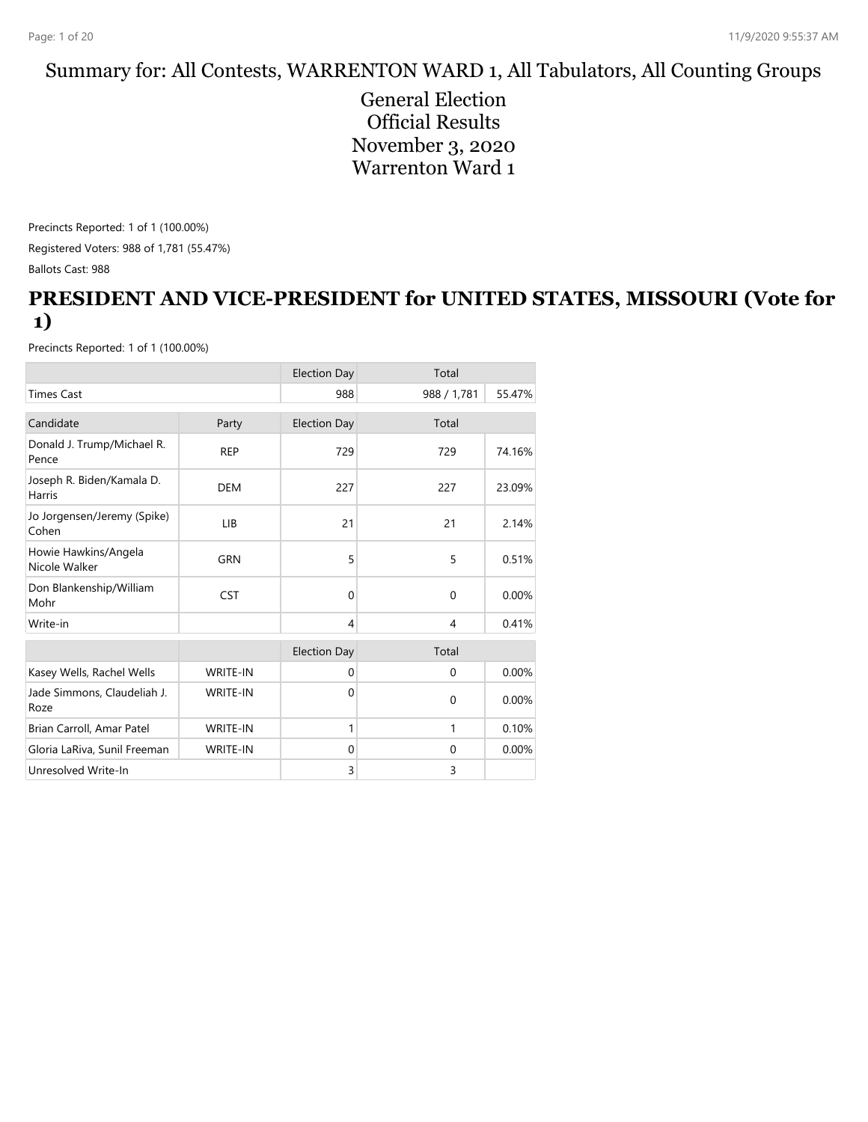#### Summary for: All Contests, WARRENTON WARD 1, All Tabulators, All Counting Groups

General Election Official Results November 3, 2020 Warrenton Ward 1

Precincts Reported: 1 of 1 (100.00%) Registered Voters: 988 of 1,781 (55.47%) Ballots Cast: 988

#### **PRESIDENT AND VICE-PRESIDENT for UNITED STATES, MISSOURI (Vote for 1)**

|                                       |                 | <b>Election Day</b> | Total        |        |
|---------------------------------------|-----------------|---------------------|--------------|--------|
| <b>Times Cast</b>                     |                 | 988                 | 988 / 1,781  | 55.47% |
| Candidate                             | Party           | <b>Election Day</b> | Total        |        |
| Donald J. Trump/Michael R.<br>Pence   | <b>REP</b>      | 729                 | 729          | 74.16% |
| Joseph R. Biden/Kamala D.<br>Harris   | <b>DEM</b>      | 227                 | 227          | 23.09% |
| Jo Jorgensen/Jeremy (Spike)<br>Cohen  | LIB             | 21                  | 21           | 2.14%  |
| Howie Hawkins/Angela<br>Nicole Walker | <b>GRN</b>      | 5                   | 5            | 0.51%  |
| Don Blankenship/William<br>Mohr       | <b>CST</b>      | $\Omega$            | $\Omega$     | 0.00%  |
| Write-in                              |                 | 4                   | 4            | 0.41%  |
|                                       |                 | <b>Election Day</b> | Total        |        |
| Kasey Wells, Rachel Wells             | <b>WRITE-IN</b> | $\mathbf{0}$        | $\mathbf{0}$ | 0.00%  |
| Jade Simmons, Claudeliah J.<br>Roze   | <b>WRITE-IN</b> | $\Omega$            | $\Omega$     | 0.00%  |
| Brian Carroll, Amar Patel             | <b>WRITE-IN</b> | 1                   | 1            | 0.10%  |
| Gloria LaRiva, Sunil Freeman          | <b>WRITE-IN</b> | $\mathbf{0}$        | $\Omega$     | 0.00%  |
| Unresolved Write-In                   |                 | 3                   | 3            |        |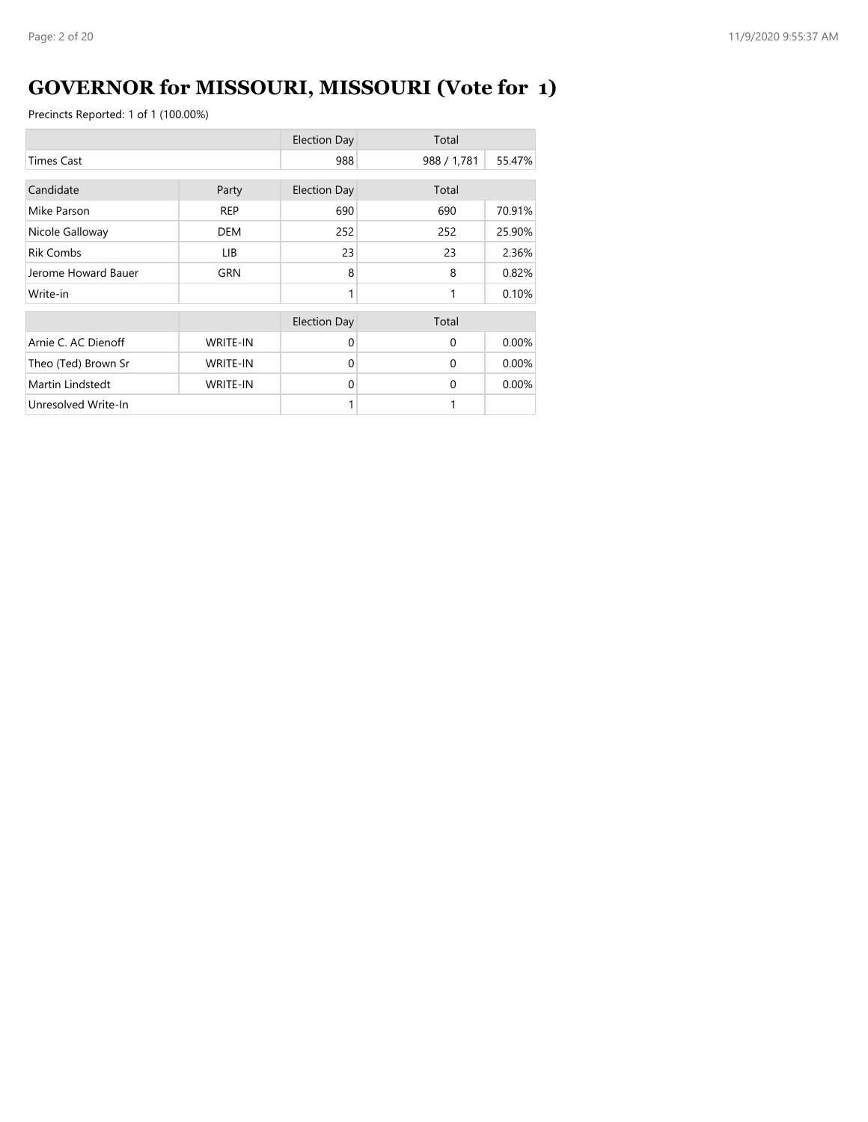# **GOVERNOR for MISSOURI, MISSOURI (Vote for 1)**

|                     |                 | <b>Election Day</b> | Total       |        |
|---------------------|-----------------|---------------------|-------------|--------|
| <b>Times Cast</b>   |                 | 988                 | 988 / 1,781 | 55.47% |
| Candidate           | Party           | <b>Election Day</b> | Total       |        |
| Mike Parson         | <b>REP</b>      | 690                 | 690         | 70.91% |
| Nicole Galloway     | DEM             | 252                 | 252         | 25.90% |
| <b>Rik Combs</b>    | LIB.            | 23                  | 23          | 2.36%  |
| Jerome Howard Bauer | GRN             | 8                   | 8           | 0.82%  |
| Write-in            |                 | 1                   | 1           | 0.10%  |
|                     |                 | <b>Election Day</b> | Total       |        |
| Arnie C. AC Dienoff | <b>WRITE-IN</b> | $\Omega$            | $\Omega$    | 0.00%  |
| Theo (Ted) Brown Sr | <b>WRITE-IN</b> | $\Omega$            | $\Omega$    | 0.00%  |
| Martin Lindstedt    | <b>WRITE-IN</b> | $\Omega$            | $\Omega$    | 0.00%  |
| Unresolved Write-In |                 |                     | 1           |        |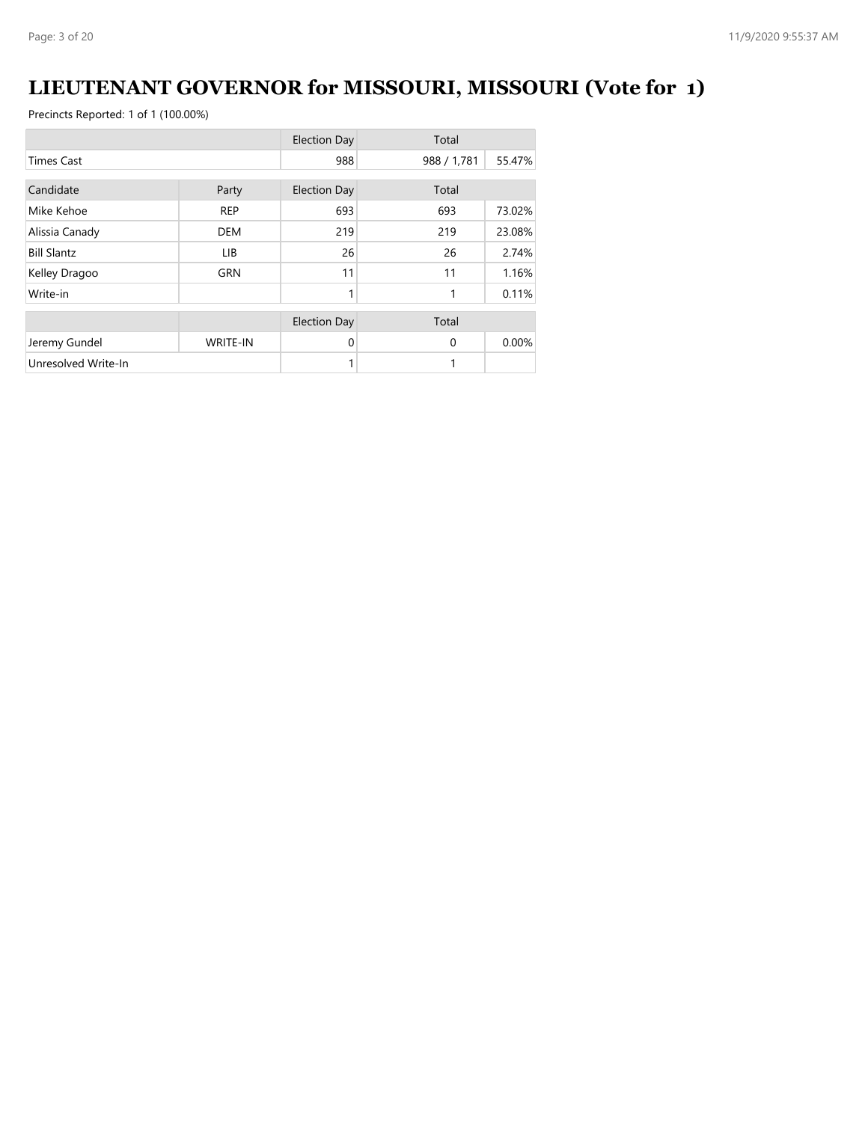### **LIEUTENANT GOVERNOR for MISSOURI, MISSOURI (Vote for 1)**

|                     |                 | <b>Election Day</b> | Total       |        |
|---------------------|-----------------|---------------------|-------------|--------|
| <b>Times Cast</b>   |                 | 988                 | 988 / 1,781 | 55.47% |
| Candidate           | Party           | <b>Election Day</b> | Total       |        |
| Mike Kehoe          | <b>REP</b>      | 693                 | 693         | 73.02% |
| Alissia Canady      | <b>DEM</b>      | 219                 | 219         | 23.08% |
| <b>Bill Slantz</b>  | LIB.            | 26                  | 26          | 2.74%  |
| Kelley Dragoo       | <b>GRN</b>      | 11                  | 11          | 1.16%  |
| Write-in            |                 | 1                   | 1           | 0.11%  |
|                     |                 | <b>Election Day</b> | Total       |        |
| Jeremy Gundel       | <b>WRITE-IN</b> | 0                   | $\Omega$    | 0.00%  |
| Unresolved Write-In |                 | 1                   | 1           |        |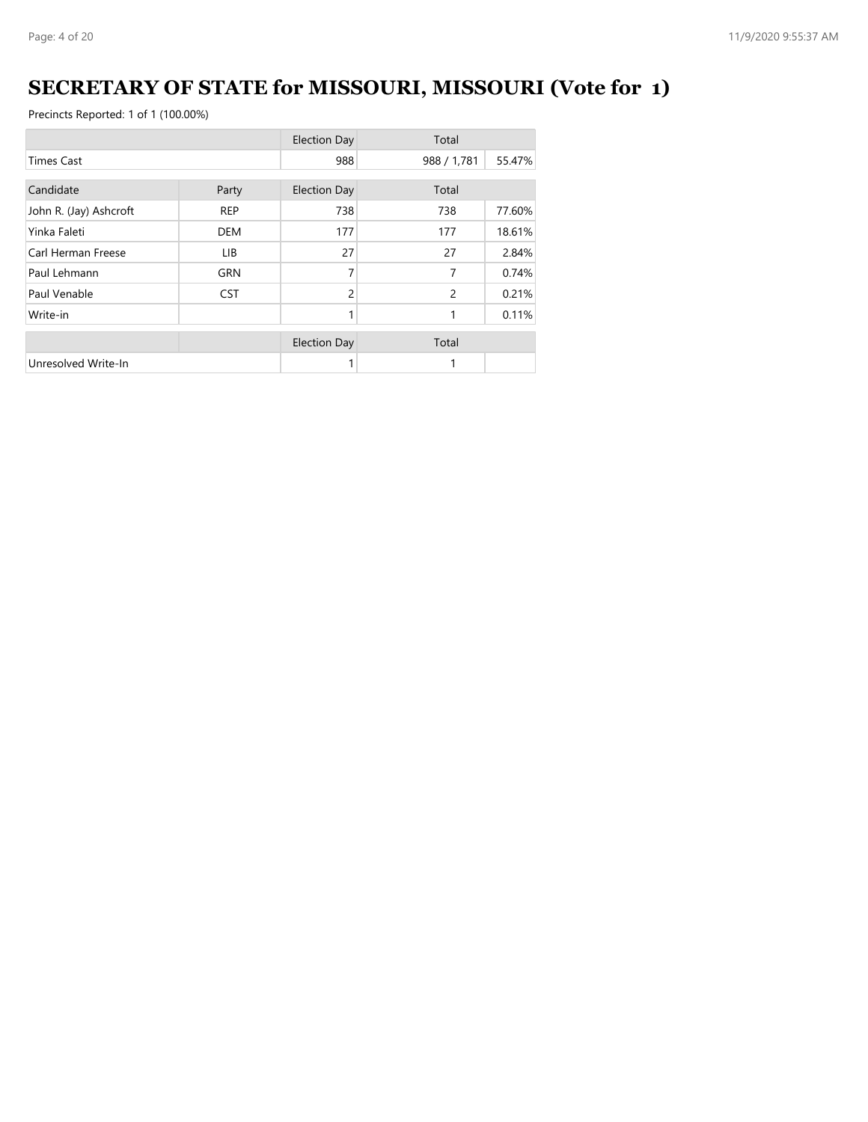# **SECRETARY OF STATE for MISSOURI, MISSOURI (Vote for 1)**

|                        |            | <b>Election Day</b> | Total          |        |
|------------------------|------------|---------------------|----------------|--------|
| <b>Times Cast</b>      |            | 988                 | 988 / 1,781    | 55.47% |
| Candidate              | Party      | <b>Election Day</b> | Total          |        |
| John R. (Jay) Ashcroft | <b>REP</b> | 738                 | 738            | 77.60% |
| Yinka Faleti           | <b>DEM</b> | 177                 | 177            | 18.61% |
| Carl Herman Freese     | LIB.       | 27                  | 27             | 2.84%  |
| Paul Lehmann           | <b>GRN</b> | 7                   | 7              | 0.74%  |
| Paul Venable           | <b>CST</b> | $\overline{2}$      | $\overline{2}$ | 0.21%  |
| Write-in               |            | 1                   | 1              | 0.11%  |
|                        |            | <b>Election Day</b> | Total          |        |
| Unresolved Write-In    |            |                     |                |        |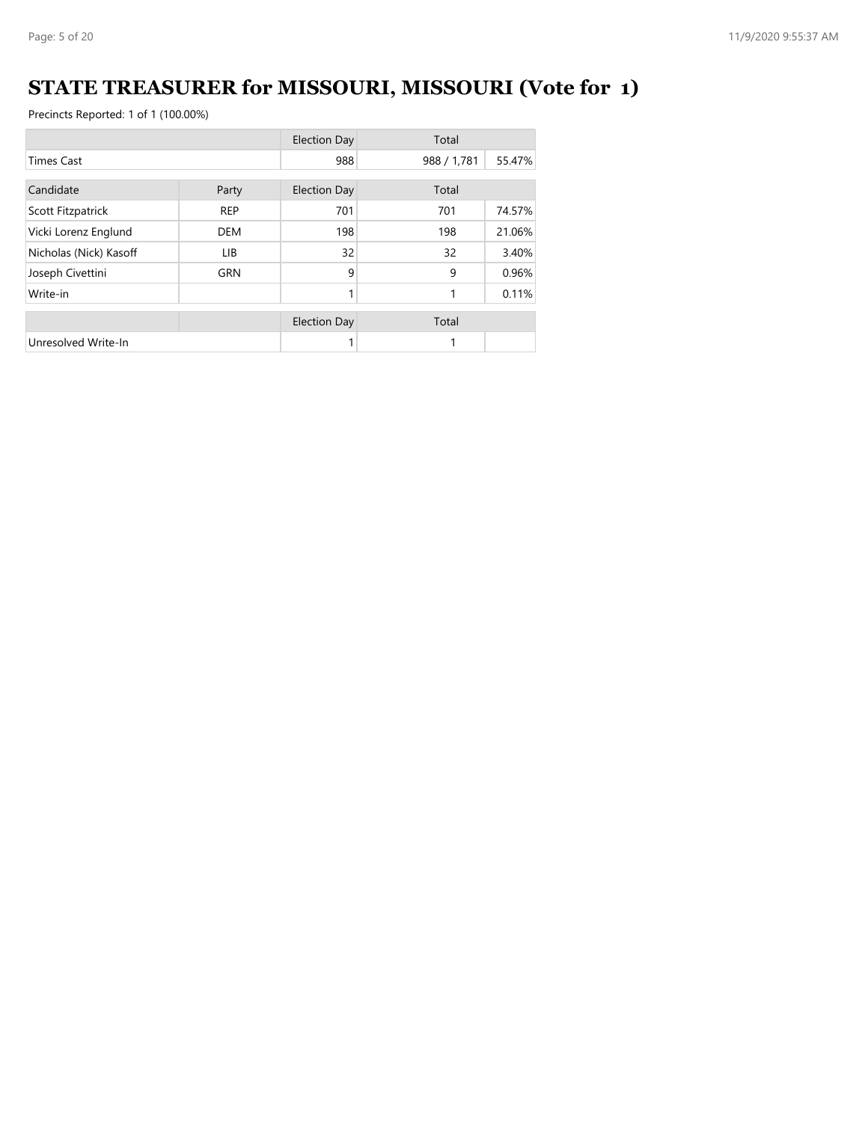# **STATE TREASURER for MISSOURI, MISSOURI (Vote for 1)**

|                        |            | <b>Election Day</b> | Total       |        |
|------------------------|------------|---------------------|-------------|--------|
| <b>Times Cast</b>      |            | 988                 | 988 / 1,781 | 55.47% |
| Candidate<br>Party     |            | <b>Election Day</b> | Total       |        |
| Scott Fitzpatrick      | <b>REP</b> | 701                 | 701         | 74.57% |
| Vicki Lorenz Englund   | <b>DEM</b> | 198                 | 198         | 21.06% |
| Nicholas (Nick) Kasoff | LIB.       | 32                  | 32          | 3.40%  |
| Joseph Civettini       | <b>GRN</b> | 9                   | 9           | 0.96%  |
| Write-in               |            | 1                   | 1           | 0.11%  |
|                        |            | <b>Election Day</b> | Total       |        |
| Unresolved Write-In    |            |                     | 1           |        |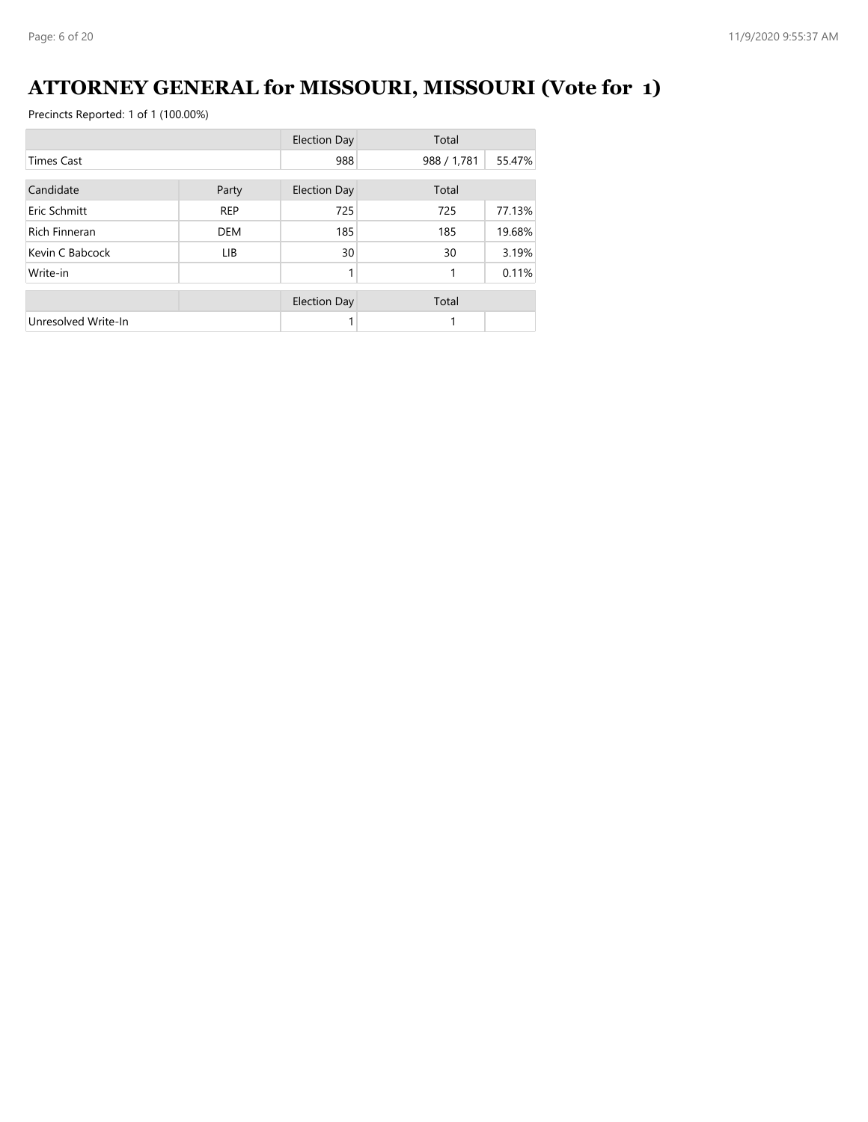# **ATTORNEY GENERAL for MISSOURI, MISSOURI (Vote for 1)**

|                      |            | <b>Election Day</b> | Total       |        |
|----------------------|------------|---------------------|-------------|--------|
| <b>Times Cast</b>    |            | 988                 | 988 / 1,781 | 55.47% |
| Candidate            | Party      | <b>Election Day</b> | Total       |        |
| Eric Schmitt         | <b>REP</b> | 725                 | 725         | 77.13% |
| <b>Rich Finneran</b> | <b>DEM</b> | 185                 | 185         | 19.68% |
| Kevin C Babcock      | <b>LIB</b> | 30                  | 30          | 3.19%  |
| Write-in             |            | 1                   | 1           | 0.11%  |
|                      |            | <b>Election Day</b> | Total       |        |
| Unresolved Write-In  |            |                     | 1           |        |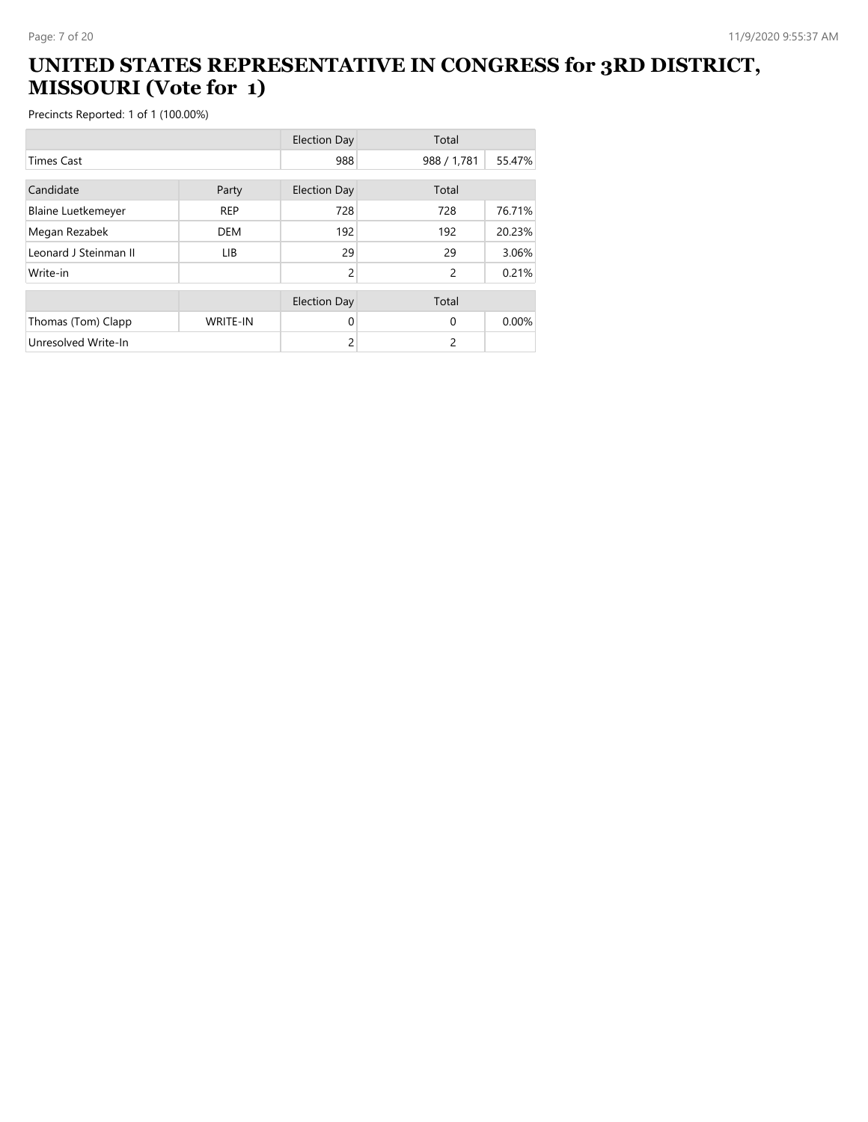#### **UNITED STATES REPRESENTATIVE IN CONGRESS for 3RD DISTRICT, MISSOURI (Vote for 1)**

|                           |                 | <b>Election Day</b> | Total          |        |
|---------------------------|-----------------|---------------------|----------------|--------|
| <b>Times Cast</b>         |                 | 988                 | 988 / 1,781    | 55.47% |
| Candidate                 | Party           | <b>Election Day</b> | Total          |        |
| <b>Blaine Luetkemeyer</b> | <b>REP</b>      | 728                 | 728            | 76.71% |
| Megan Rezabek             | <b>DEM</b>      | 192                 | 192            | 20.23% |
| Leonard J Steinman II     | <b>LIB</b>      | 29                  | 29             | 3.06%  |
| Write-in                  |                 | $\overline{2}$      | $\overline{c}$ | 0.21%  |
|                           |                 | <b>Election Day</b> | Total          |        |
| Thomas (Tom) Clapp        | <b>WRITE-IN</b> | 0                   | $\Omega$       | 0.00%  |
| Unresolved Write-In       |                 | 2                   | 2              |        |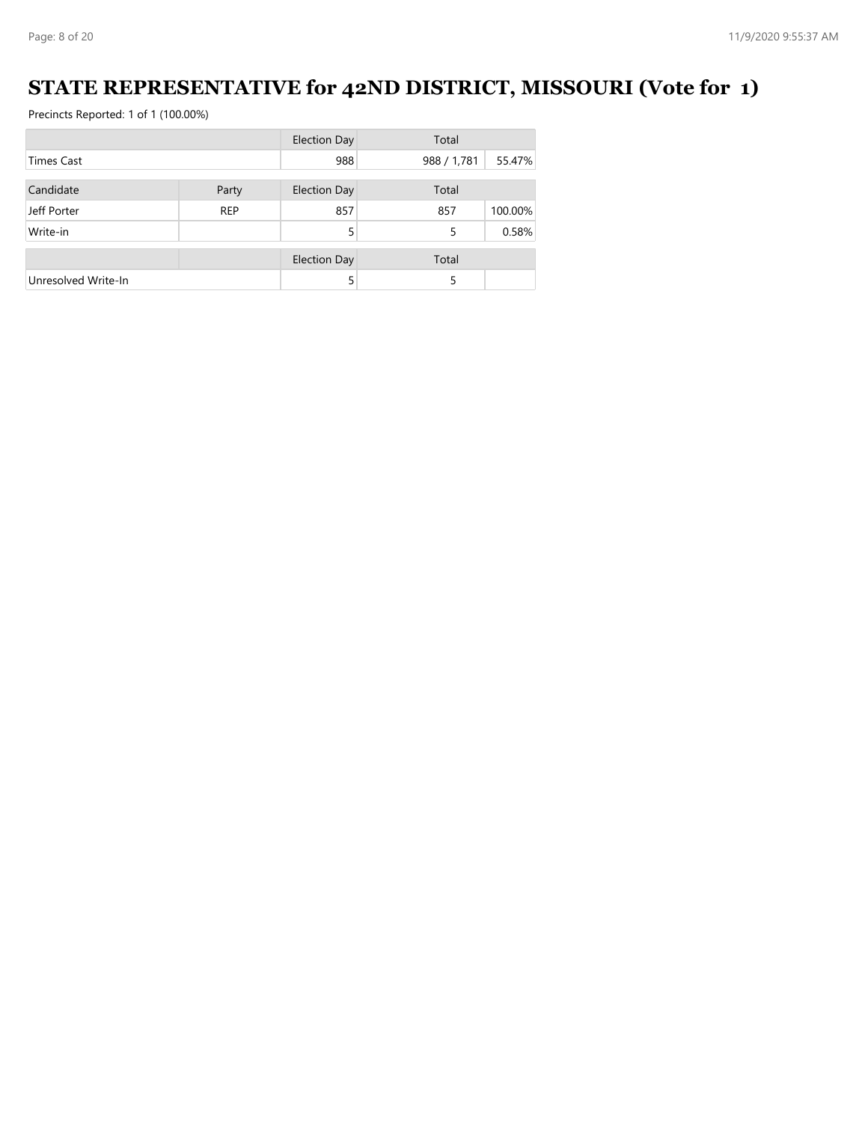### **STATE REPRESENTATIVE for 42ND DISTRICT, MISSOURI (Vote for 1)**

|                     |            | <b>Election Day</b> | Total       |         |
|---------------------|------------|---------------------|-------------|---------|
| <b>Times Cast</b>   |            | 988                 | 988 / 1,781 | 55.47%  |
|                     |            |                     |             |         |
| Candidate           | Party      | Election Day        | Total       |         |
| Jeff Porter         | <b>REP</b> | 857                 | 857         | 100.00% |
| Write-in            |            | 5                   | 5           | 0.58%   |
|                     |            | <b>Election Day</b> | Total       |         |
|                     |            |                     |             |         |
| Unresolved Write-In |            | 5                   | 5           |         |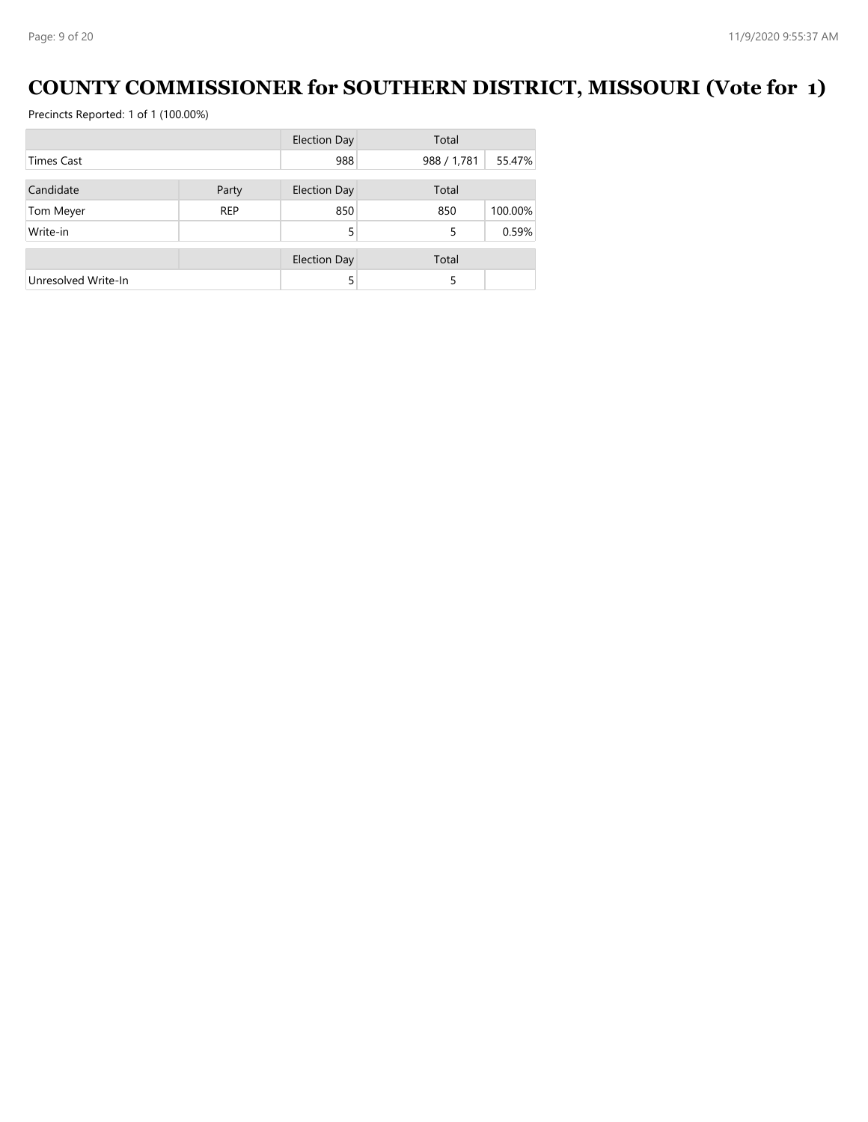### **COUNTY COMMISSIONER for SOUTHERN DISTRICT, MISSOURI (Vote for 1)**

|                     |            | <b>Election Day</b> | Total       |         |
|---------------------|------------|---------------------|-------------|---------|
| <b>Times Cast</b>   |            | 988                 | 988 / 1,781 | 55.47%  |
| Candidate           | Party      | <b>Election Day</b> | Total       |         |
| Tom Meyer           | <b>REP</b> | 850                 | 850         | 100.00% |
| Write-in            |            | 5                   | 5           | 0.59%   |
|                     |            | <b>Election Day</b> | Total       |         |
| Unresolved Write-In |            | 5                   | 5           |         |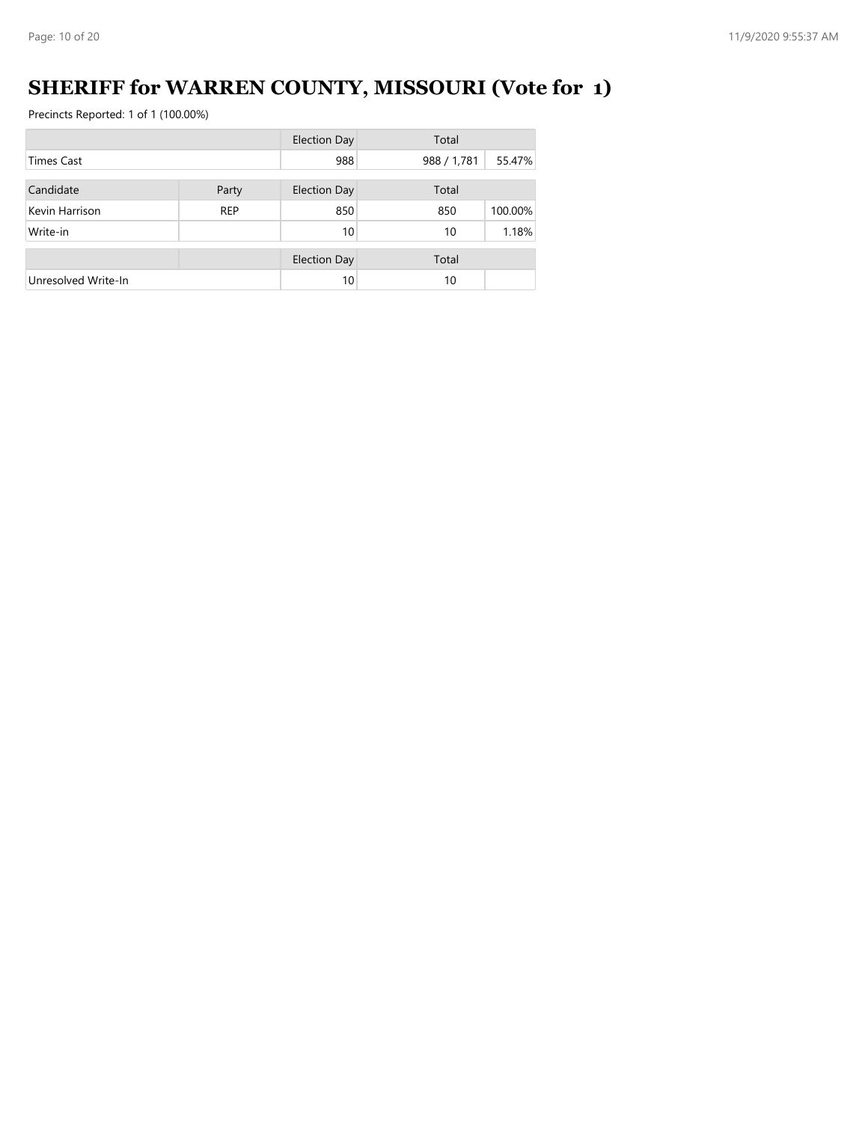# **SHERIFF for WARREN COUNTY, MISSOURI (Vote for 1)**

|                     |            | <b>Election Day</b> | Total       |         |
|---------------------|------------|---------------------|-------------|---------|
| <b>Times Cast</b>   |            | 988                 | 988 / 1,781 | 55.47%  |
| Candidate           | Party      | Election Day        | Total       |         |
| Kevin Harrison      | <b>REP</b> | 850                 | 850         | 100.00% |
| Write-in            |            | 10                  | 10          | 1.18%   |
|                     |            | <b>Election Day</b> | Total       |         |
| Unresolved Write-In |            | 10                  | 10          |         |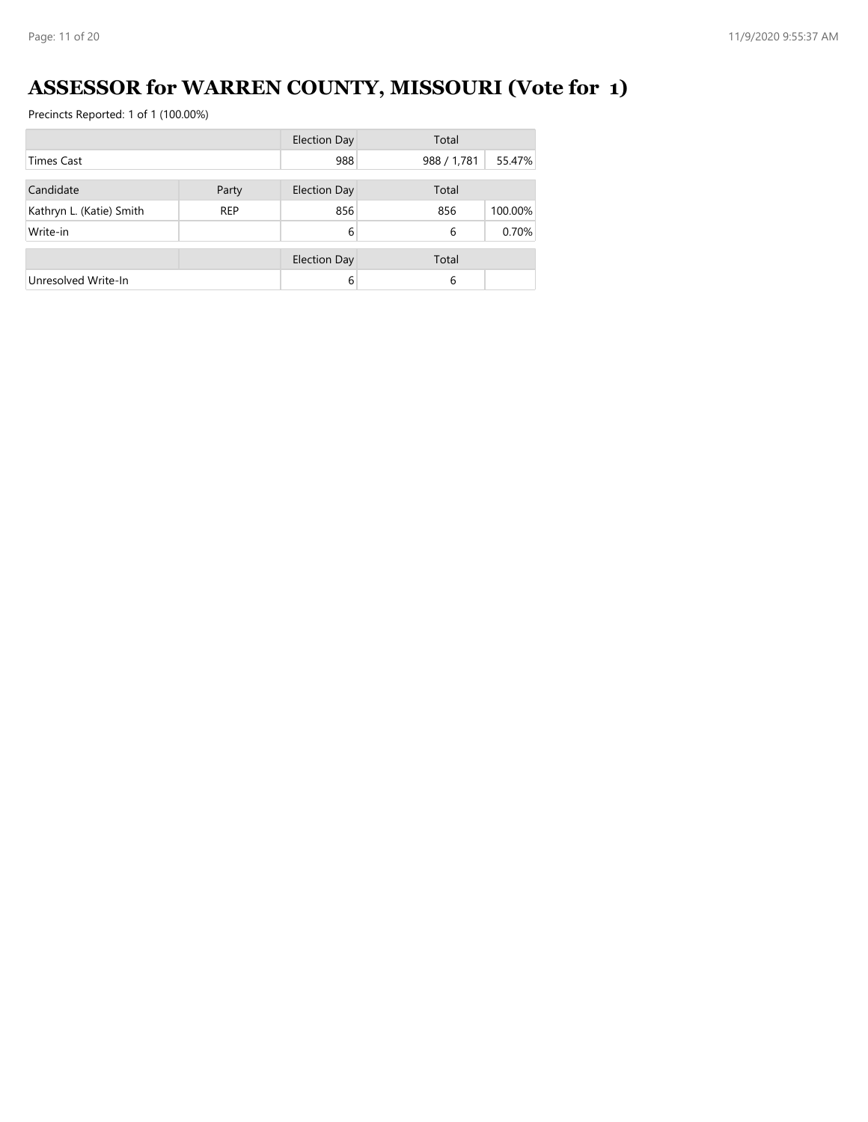# **ASSESSOR for WARREN COUNTY, MISSOURI (Vote for 1)**

|                          |            | <b>Election Day</b> | Total       |         |
|--------------------------|------------|---------------------|-------------|---------|
| <b>Times Cast</b>        |            | 988                 | 988 / 1,781 | 55.47%  |
| Candidate                | Party      | <b>Election Day</b> | Total       |         |
|                          |            |                     |             |         |
| Kathryn L. (Katie) Smith | <b>REP</b> | 856                 | 856         | 100.00% |
| Write-in                 |            | 6                   | 6           | 0.70%   |
|                          |            | <b>Election Day</b> | Total       |         |
| Unresolved Write-In      |            | 6                   | 6           |         |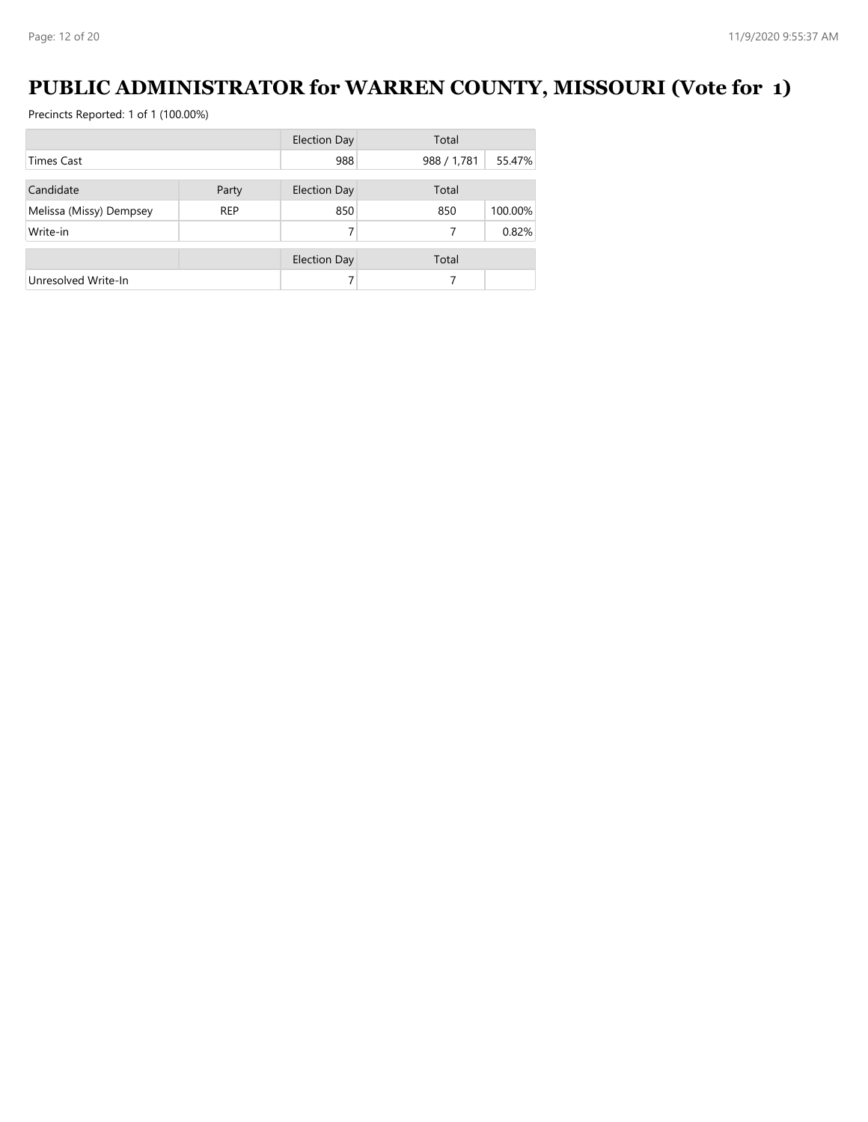### **PUBLIC ADMINISTRATOR for WARREN COUNTY, MISSOURI (Vote for 1)**

|                         |            | <b>Election Day</b> | Total       |         |
|-------------------------|------------|---------------------|-------------|---------|
| <b>Times Cast</b>       |            | 988                 | 988 / 1,781 | 55.47%  |
|                         |            |                     |             |         |
| Candidate               | Party      | Election Day        | Total       |         |
| Melissa (Missy) Dempsey | <b>REP</b> | 850                 | 850         | 100.00% |
| Write-in                |            |                     |             | 0.82%   |
|                         |            | <b>Election Day</b> | Total       |         |
| Unresolved Write-In     |            |                     |             |         |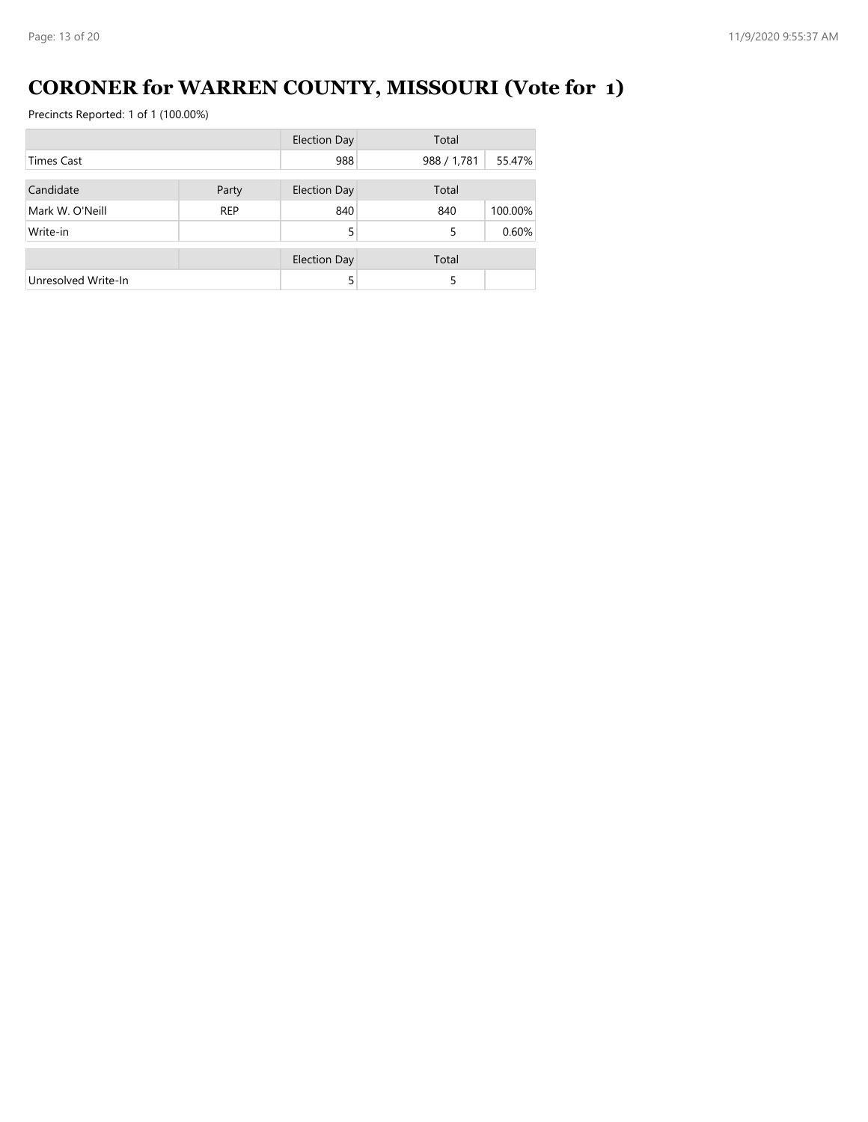# **CORONER for WARREN COUNTY, MISSOURI (Vote for 1)**

|                     |            | <b>Election Day</b> | Total       |         |
|---------------------|------------|---------------------|-------------|---------|
| <b>Times Cast</b>   |            | 988                 | 988 / 1,781 | 55.47%  |
| Candidate           | Party      | <b>Election Day</b> | Total       |         |
|                     |            |                     |             |         |
| Mark W. O'Neill     | <b>REP</b> | 840                 | 840         | 100.00% |
| Write-in            |            | 5                   | 5           | 0.60%   |
|                     |            | <b>Election Day</b> | Total       |         |
| Unresolved Write-In |            | 5                   | 5           |         |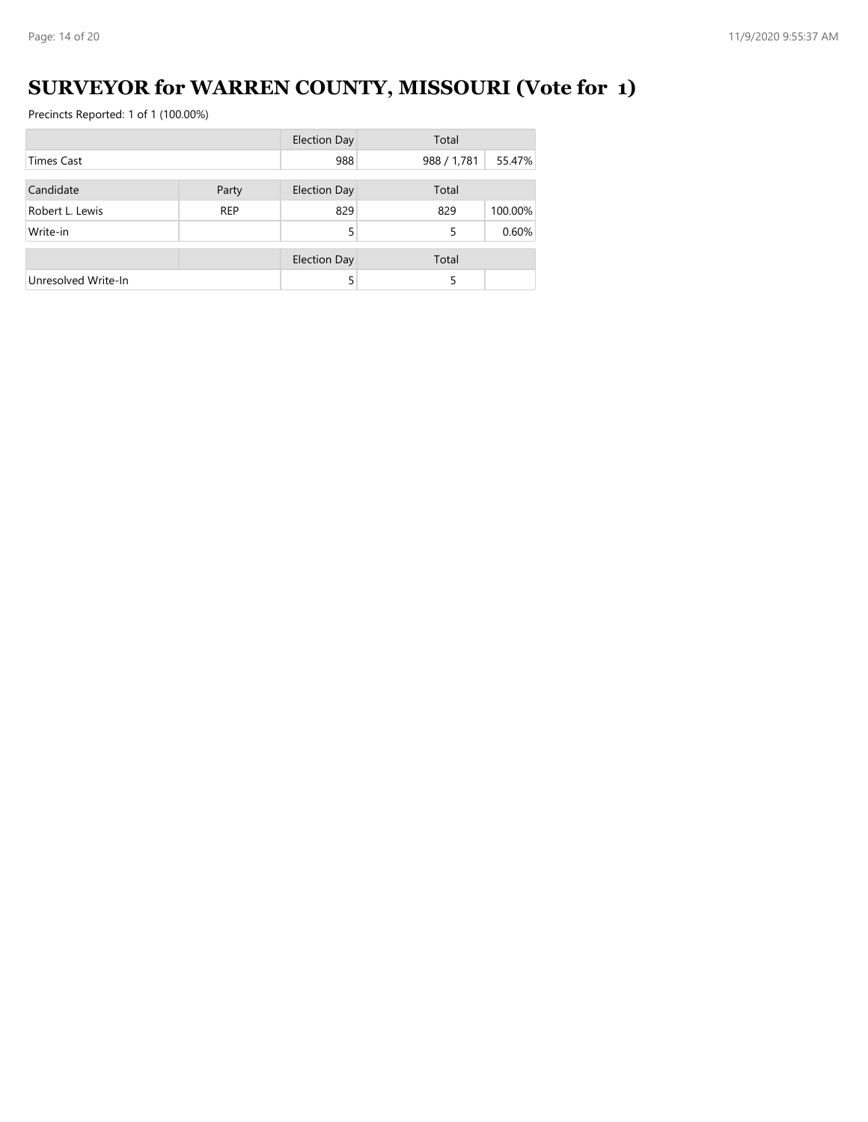# **SURVEYOR for WARREN COUNTY, MISSOURI (Vote for 1)**

|                     |            | <b>Election Day</b> | Total       |         |
|---------------------|------------|---------------------|-------------|---------|
| <b>Times Cast</b>   |            | 988                 | 988 / 1,781 | 55.47%  |
|                     |            |                     |             |         |
| Candidate           | Party      | <b>Election Day</b> | Total       |         |
| Robert L. Lewis     | <b>REP</b> | 829                 | 829         | 100.00% |
| Write-in            |            | 5                   | 5           | 0.60%   |
|                     |            | <b>Election Day</b> | Total       |         |
|                     |            |                     |             |         |
| Unresolved Write-In |            | 5                   | 5           |         |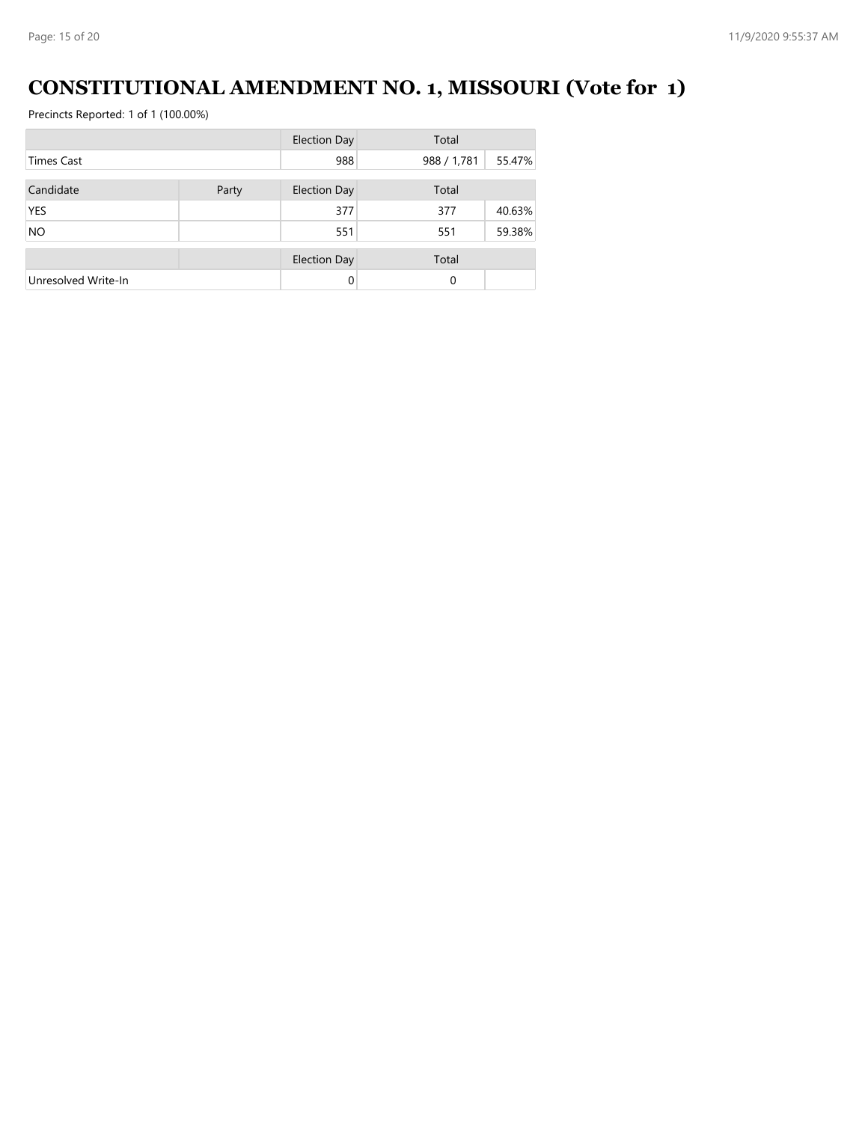# **CONSTITUTIONAL AMENDMENT NO. 1, MISSOURI (Vote for 1)**

|                     |       | <b>Election Day</b> | Total       |        |
|---------------------|-------|---------------------|-------------|--------|
| <b>Times Cast</b>   |       | 988                 | 988 / 1,781 | 55.47% |
| Candidate           | Party | <b>Election Day</b> | Total       |        |
| <b>YES</b>          |       | 377                 | 377         | 40.63% |
| <b>NO</b>           |       | 551                 | 551         | 59.38% |
|                     |       | <b>Election Day</b> | Total       |        |
| Unresolved Write-In |       | $\Omega$            | 0           |        |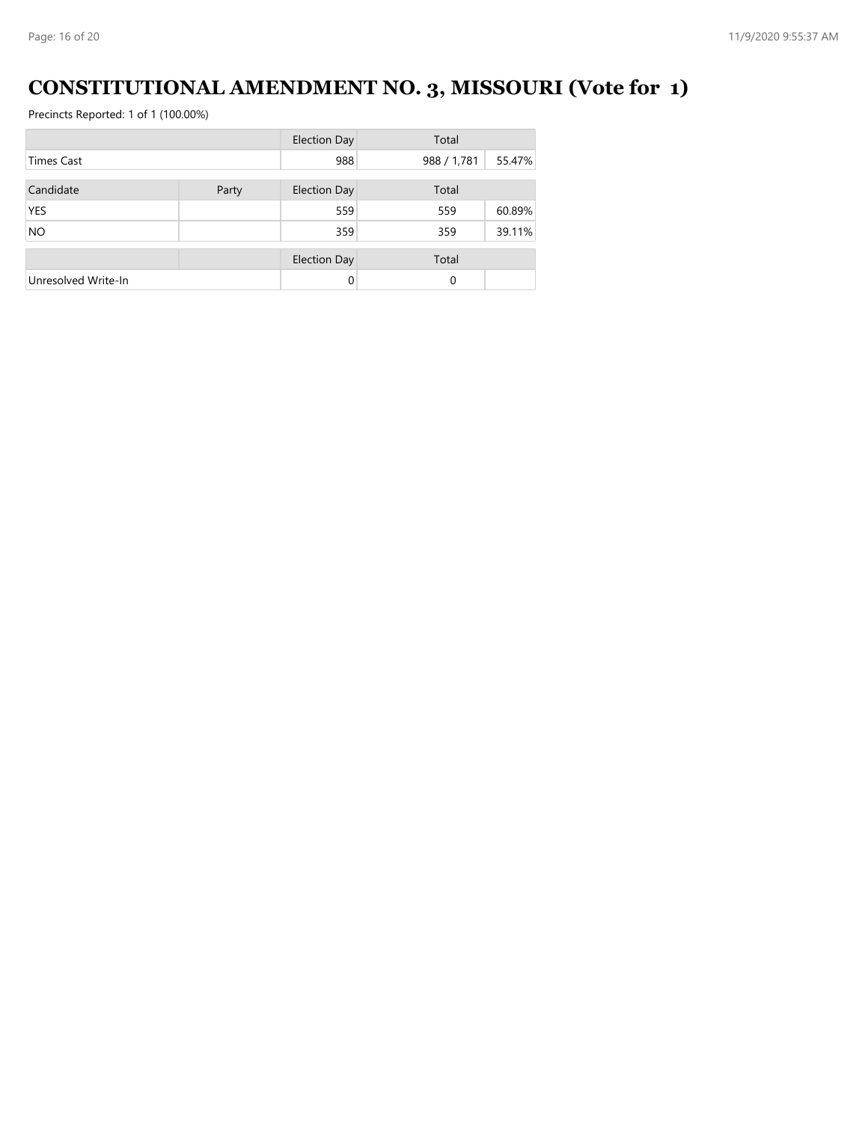# **CONSTITUTIONAL AMENDMENT NO. 3, MISSOURI (Vote for 1)**

|                     |       | <b>Election Day</b> | Total       |        |
|---------------------|-------|---------------------|-------------|--------|
| <b>Times Cast</b>   |       | 988                 | 988 / 1,781 | 55.47% |
| Candidate           | Party | <b>Election Day</b> | Total       |        |
| <b>YES</b>          |       | 559                 | 559         | 60.89% |
| <b>NO</b>           |       | 359                 | 359         | 39.11% |
|                     |       | <b>Election Day</b> | Total       |        |
| Unresolved Write-In |       | $\Omega$            | 0           |        |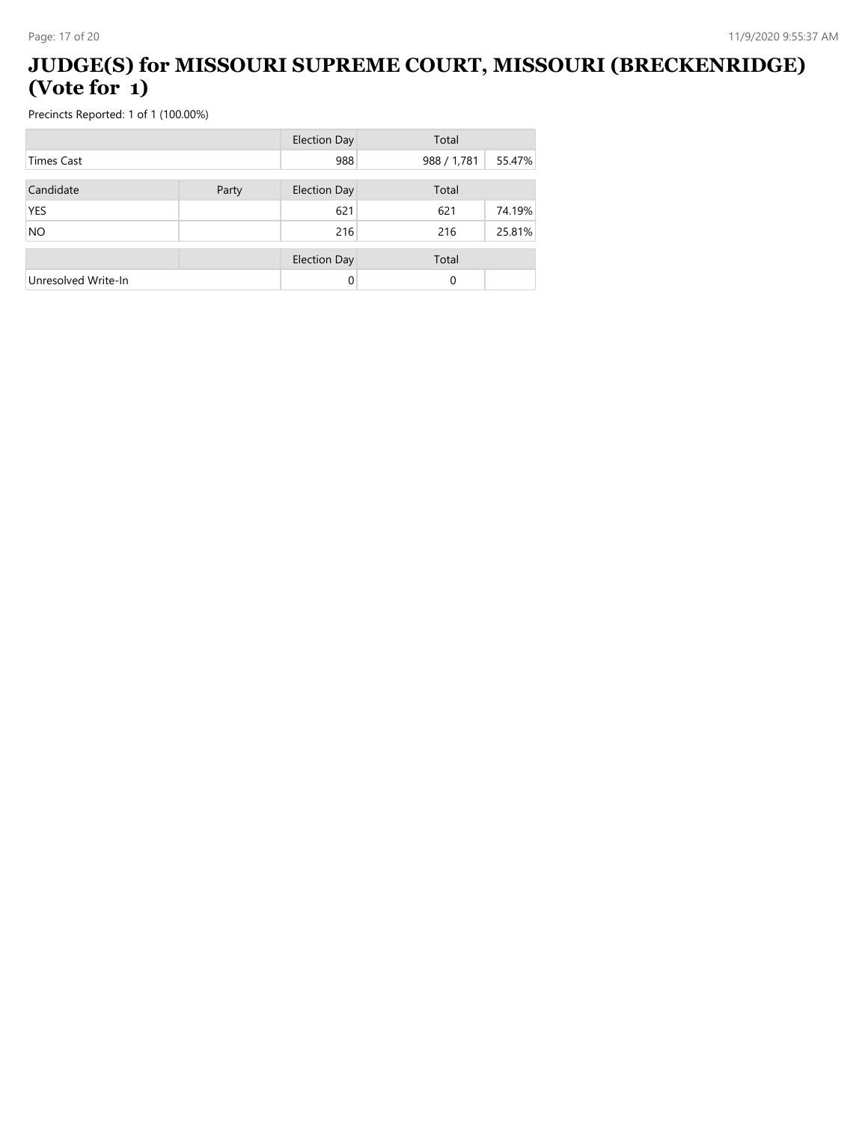#### **JUDGE(S) for MISSOURI SUPREME COURT, MISSOURI (BRECKENRIDGE) (Vote for 1)**

|                     |       | <b>Election Day</b> | Total       |        |
|---------------------|-------|---------------------|-------------|--------|
| <b>Times Cast</b>   |       | 988                 | 988 / 1,781 | 55.47% |
| Candidate           | Party | <b>Election Day</b> | Total       |        |
| <b>YES</b>          |       | 621                 | 621         | 74.19% |
| <b>NO</b>           |       | 216                 | 216         | 25.81% |
|                     |       | <b>Election Day</b> | Total       |        |
| Unresolved Write-In |       | 0                   | 0           |        |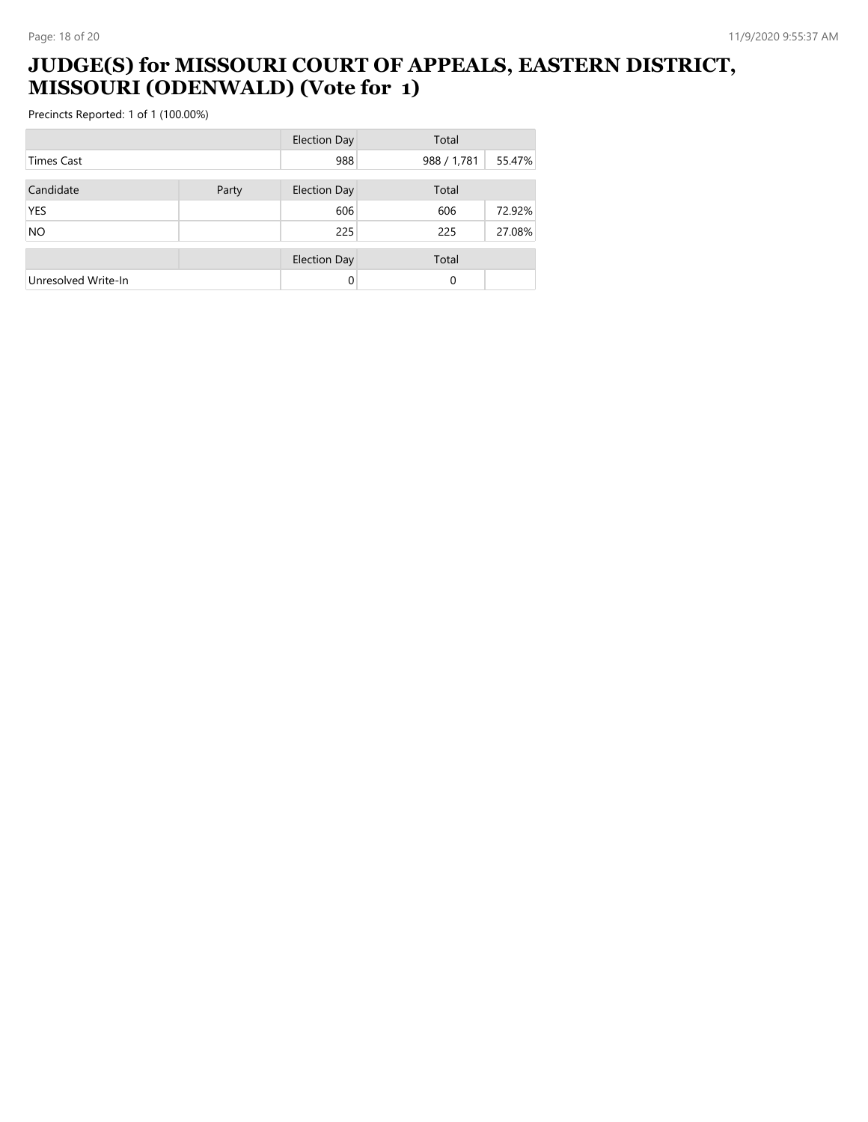#### **JUDGE(S) for MISSOURI COURT OF APPEALS, EASTERN DISTRICT, MISSOURI (ODENWALD) (Vote for 1)**

|                     |       | <b>Election Day</b> | Total       |        |
|---------------------|-------|---------------------|-------------|--------|
| <b>Times Cast</b>   |       | 988                 | 988 / 1,781 | 55.47% |
| Candidate           | Party | <b>Election Day</b> | Total       |        |
| <b>YES</b>          |       | 606                 | 606         | 72.92% |
| <b>NO</b>           |       | 225                 | 225         | 27.08% |
|                     |       | <b>Election Day</b> | Total       |        |
| Unresolved Write-In |       | 0                   | 0           |        |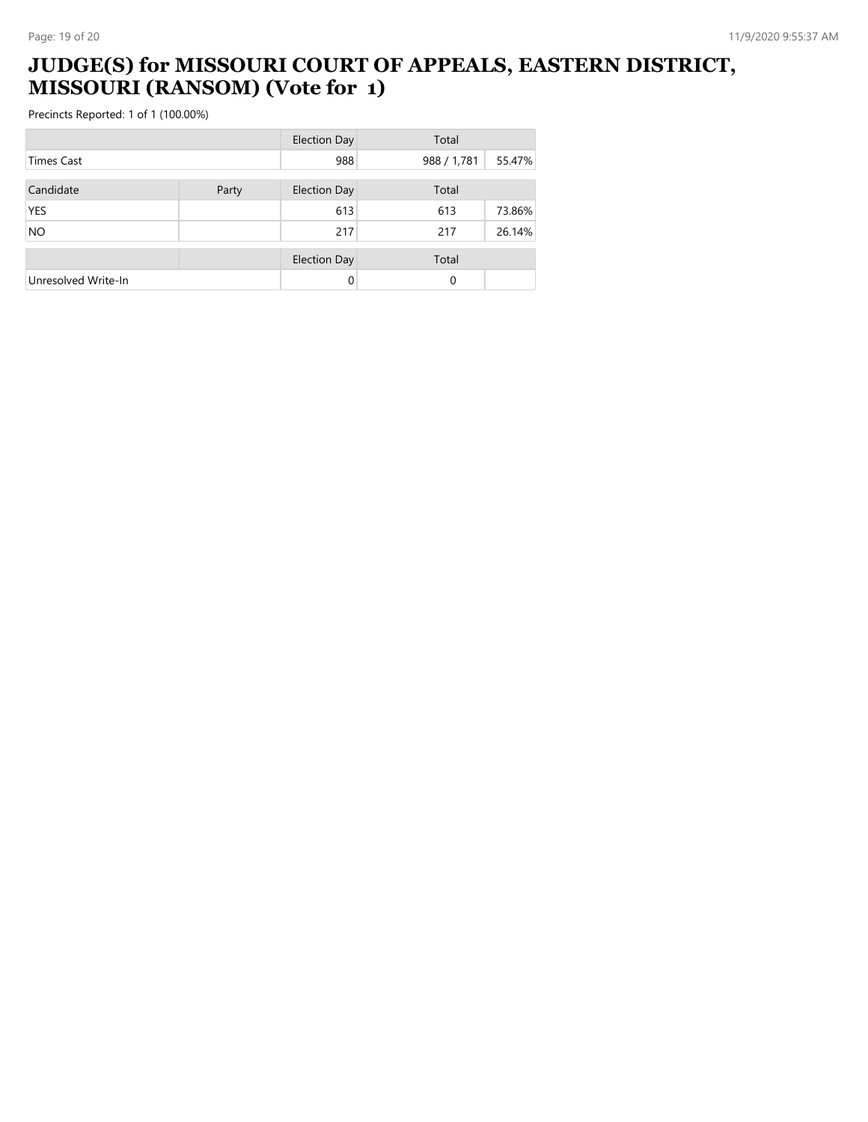#### **JUDGE(S) for MISSOURI COURT OF APPEALS, EASTERN DISTRICT, MISSOURI (RANSOM) (Vote for 1)**

|                     |       | <b>Election Day</b> | Total       |        |
|---------------------|-------|---------------------|-------------|--------|
| <b>Times Cast</b>   |       | 988                 | 988 / 1,781 | 55.47% |
| Candidate           | Party | <b>Election Day</b> | Total       |        |
| <b>YES</b>          |       | 613                 | 613         | 73.86% |
| <b>NO</b>           |       | 217                 | 217         | 26.14% |
|                     |       | <b>Election Day</b> | Total       |        |
| Unresolved Write-In |       | 0                   | 0           |        |